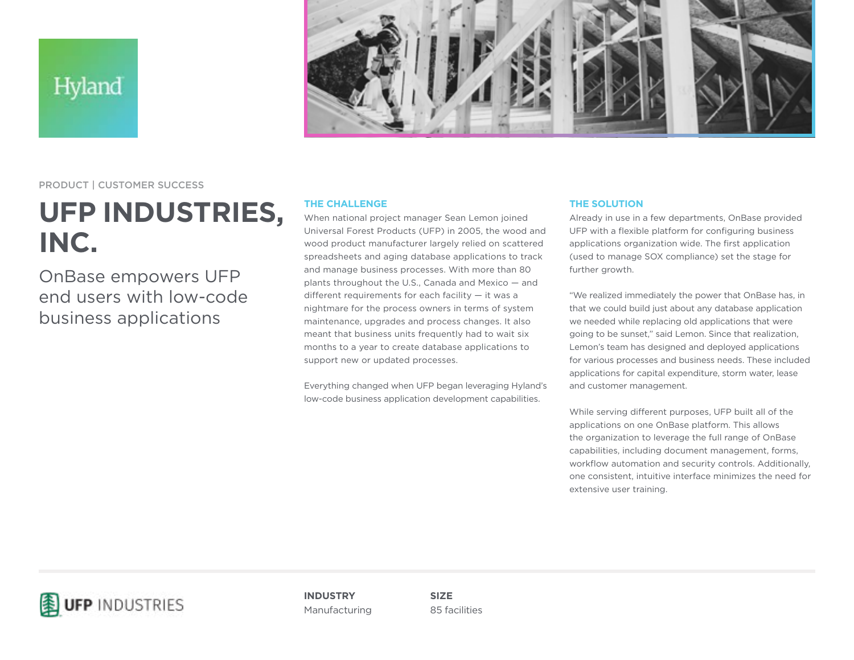Hyland



PRODUCT | CUSTOMER SUCCESS

## **UFP INDUSTRIES, INC.**

OnBase empowers UFP end users with low-code business applications

## **THE CHALLENGE**

When national project manager Sean Lemon joined Universal Forest Products (UFP) in 2005, the wood and wood product manufacturer largely relied on scattered spreadsheets and aging database applications to track and manage business processes. With more than 80 plants throughout the U.S., Canada and Mexico — and different requirements for each facility — it was a nightmare for the process owners in terms of system maintenance, upgrades and process changes. It also meant that business units frequently had to wait six months to a year to create database applications to support new or updated processes.

Everything changed when UFP began leveraging Hyland's low-code business application development capabilities.

## **THE SOLUTION**

Already in use in a few departments, OnBase provided UFP with a flexible platform for configuring business applications organization wide. The first application (used to manage SOX compliance) set the stage for further growth.

"We realized immediately the power that OnBase has, in that we could build just about any database application we needed while replacing old applications that were going to be sunset," said Lemon. Since that realization, Lemon's team has designed and deployed applications for various processes and business needs. These included applications for capital expenditure, storm water, lease and customer management.

While serving different purposes, UFP built all of the applications on one OnBase platform. This allows the organization to leverage the full range of OnBase capabilities, including document management, forms, workflow automation and security controls. Additionally, one consistent, intuitive interface minimizes the need for extensive user training.



**INDUSTRY** Manufacturing

**SIZE** 85 facilities